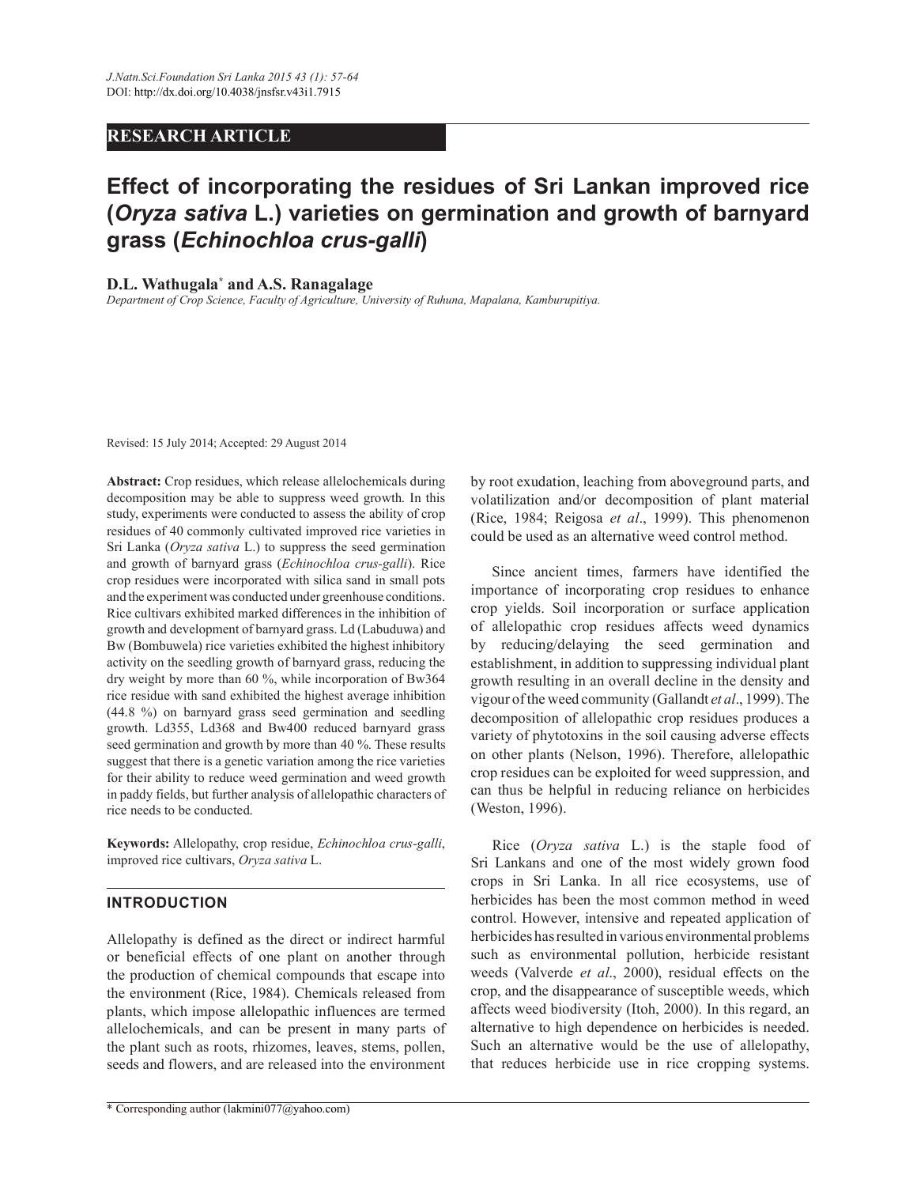# **RESEARCH ARTICLE**

# **Effect of incorporating the residues of Sri Lankan improved rice (***Oryza sativa* **L.) varieties on germination and growth of barnyard grass (***Echinochloa crus-galli***)**

# **D.L. Wathugala\* and A.S. Ranagalage**

*Department of Crop Science, Faculty of Agriculture, University of Ruhuna, Mapalana, Kamburupitiya.*

Revised: 15 July 2014; Accepted: 29 August 2014

**Abstract:** Crop residues, which release allelochemicals during decomposition may be able to suppress weed growth. In this study, experiments were conducted to assess the ability of crop residues of 40 commonly cultivated improved rice varieties in Sri Lanka (*Oryza sativa* L.) to suppress the seed germination and growth of barnyard grass (*Echinochloa crus-galli*). Rice crop residues were incorporated with silica sand in small pots and the experiment was conducted under greenhouse conditions. Rice cultivars exhibited marked differences in the inhibition of growth and development of barnyard grass. Ld (Labuduwa) and Bw (Bombuwela) rice varieties exhibited the highest inhibitory activity on the seedling growth of barnyard grass, reducing the dry weight by more than 60 %, while incorporation of Bw364 rice residue with sand exhibited the highest average inhibition (44.8 %) on barnyard grass seed germination and seedling growth. Ld355, Ld368 and Bw400 reduced barnyard grass seed germination and growth by more than 40 %. These results suggest that there is a genetic variation among the rice varieties for their ability to reduce weed germination and weed growth in paddy fields, but further analysis of allelopathic characters of rice needs to be conducted.

**Keywords:** Allelopathy, crop residue, *Echinochloa crus-galli*, improved rice cultivars, *Oryza sativa* L.

# **INTRODUCTION**

Allelopathy is defined as the direct or indirect harmful or beneficial effects of one plant on another through the production of chemical compounds that escape into the environment (Rice, 1984). Chemicals released from plants, which impose allelopathic influences are termed allelochemicals, and can be present in many parts of the plant such as roots, rhizomes, leaves, stems, pollen, seeds and flowers, and are released into the environment

by root exudation, leaching from aboveground parts, and volatilization and/or decomposition of plant material (Rice, 1984; Reigosa *et al*., 1999). This phenomenon could be used as an alternative weed control method.

 Since ancient times, farmers have identified the importance of incorporating crop residues to enhance crop yields. Soil incorporation or surface application of allelopathic crop residues affects weed dynamics by reducing/delaying the seed germination and establishment, in addition to suppressing individual plant growth resulting in an overall decline in the density and vigour of the weed community (Gallandt *et al*., 1999). The decomposition of allelopathic crop residues produces a variety of phytotoxins in the soil causing adverse effects on other plants (Nelson, 1996). Therefore, allelopathic crop residues can be exploited for weed suppression, and can thus be helpful in reducing reliance on herbicides (Weston, 1996).

 Rice (*Oryza sativa* L.) is the staple food of Sri Lankans and one of the most widely grown food crops in Sri Lanka. In all rice ecosystems, use of herbicides has been the most common method in weed control. However, intensive and repeated application of herbicides has resulted in various environmental problems such as environmental pollution, herbicide resistant weeds (Valverde *et al*., 2000), residual effects on the crop, and the disappearance of susceptible weeds, which affects weed biodiversity (Itoh, 2000). In this regard, an alternative to high dependence on herbicides is needed. Such an alternative would be the use of allelopathy, that reduces herbicide use in rice cropping systems.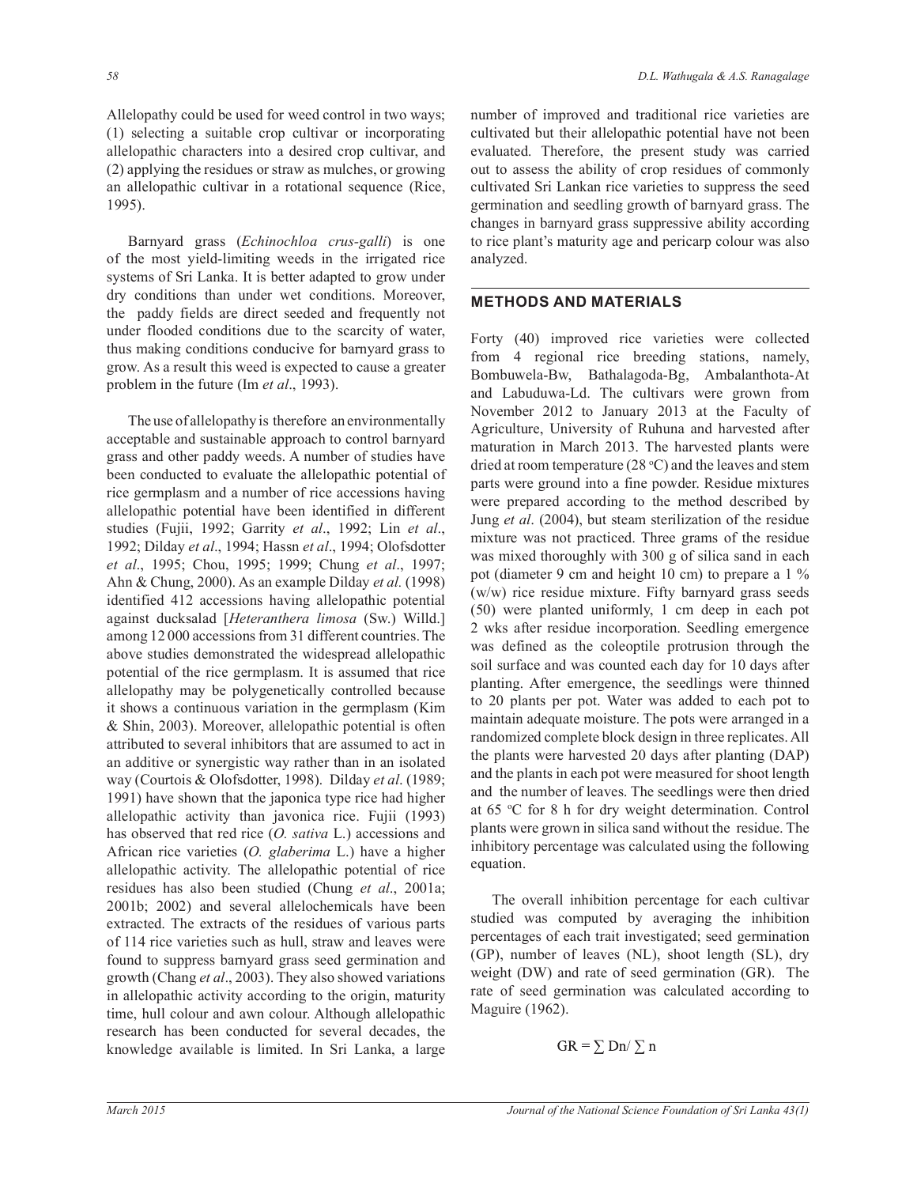Allelopathy could be used for weed control in two ways; (1) selecting a suitable crop cultivar or incorporating allelopathic characters into a desired crop cultivar, and (2) applying the residues or straw as mulches, or growing an allelopathic cultivar in a rotational sequence (Rice, 1995).

 Barnyard grass (*Echinochloa crus-galli*) is one of the most yield-limiting weeds in the irrigated rice systems of Sri Lanka. It is better adapted to grow under dry conditions than under wet conditions. Moreover, the paddy fields are direct seeded and frequently not under flooded conditions due to the scarcity of water, thus making conditions conducive for barnyard grass to grow. As a result this weed is expected to cause a greater problem in the future (Im *et al*., 1993).

 The use of allelopathy is therefore an environmentally acceptable and sustainable approach to control barnyard grass and other paddy weeds. A number of studies have been conducted to evaluate the allelopathic potential of rice germplasm and a number of rice accessions having allelopathic potential have been identified in different studies (Fujii, 1992; Garrity *et al*., 1992; Lin *et al*., 1992; Dilday *et al*., 1994; Hassn *et al*., 1994; Olofsdotter *et al*., 1995; Chou, 1995; 1999; Chung *et al*., 1997; Ahn & Chung, 2000). As an example Dilday *et al.* (1998) identified 412 accessions having allelopathic potential against ducksalad [*Heteranthera limosa* (Sw.) Willd.] among 12 000 accessions from 31 different countries. The above studies demonstrated the widespread allelopathic potential of the rice germplasm. It is assumed that rice allelopathy may be polygenetically controlled because it shows a continuous variation in the germplasm (Kim & Shin, 2003). Moreover, allelopathic potential is often attributed to several inhibitors that are assumed to act in an additive or synergistic way rather than in an isolated way (Courtois & Olofsdotter, 1998). Dilday *et al*. (1989; 1991) have shown that the japonica type rice had higher allelopathic activity than javonica rice. Fujii (1993) has observed that red rice (*O. sativa* L.) accessions and African rice varieties (*O. glaberima* L.) have a higher allelopathic activity. The allelopathic potential of rice residues has also been studied (Chung *et al*., 2001a; 2001b; 2002) and several allelochemicals have been extracted. The extracts of the residues of various parts of 114 rice varieties such as hull, straw and leaves were found to suppress barnyard grass seed germination and growth (Chang *et al*., 2003). They also showed variations in allelopathic activity according to the origin, maturity time, hull colour and awn colour. Although allelopathic research has been conducted for several decades, the knowledge available is limited. In Sri Lanka, a large

number of improved and traditional rice varieties are cultivated but their allelopathic potential have not been evaluated. Therefore, the present study was carried out to assess the ability of crop residues of commonly cultivated Sri Lankan rice varieties to suppress the seed germination and seedling growth of barnyard grass. The changes in barnyard grass suppressive ability according to rice plant's maturity age and pericarp colour was also analyzed.

### **METHODS AND MATERIALS**

Forty (40) improved rice varieties were collected from 4 regional rice breeding stations, namely, Bombuwela-Bw, Bathalagoda-Bg, Ambalanthota-At and Labuduwa-Ld. The cultivars were grown from November 2012 to January 2013 at the Faculty of Agriculture, University of Ruhuna and harvested after maturation in March 2013. The harvested plants were dried at room temperature (28  $\degree$ C) and the leaves and stem parts were ground into a fine powder. Residue mixtures were prepared according to the method described by Jung *et al*. (2004), but steam sterilization of the residue mixture was not practiced. Three grams of the residue was mixed thoroughly with 300 g of silica sand in each pot (diameter 9 cm and height 10 cm) to prepare a 1 % (w/w) rice residue mixture. Fifty barnyard grass seeds (50) were planted uniformly, 1 cm deep in each pot 2 wks after residue incorporation. Seedling emergence was defined as the coleoptile protrusion through the soil surface and was counted each day for 10 days after planting. After emergence, the seedlings were thinned to 20 plants per pot. Water was added to each pot to maintain adequate moisture. The pots were arranged in a randomized complete block design in three replicates. All the plants were harvested 20 days after planting (DAP) and the plants in each pot were measured for shoot length and the number of leaves. The seedlings were then dried at 65 <sup>o</sup>C for 8 h for dry weight determination. Control plants were grown in silica sand without the residue. The inhibitory percentage was calculated using the following equation.

 The overall inhibition percentage for each cultivar studied was computed by averaging the inhibition percentages of each trait investigated; seed germination (GP), number of leaves (NL), shoot length (SL), dry weight (DW) and rate of seed germination (GR). The rate of seed germination was calculated according to Maguire (1962).

$$
GR = \sum Dn / \sum n
$$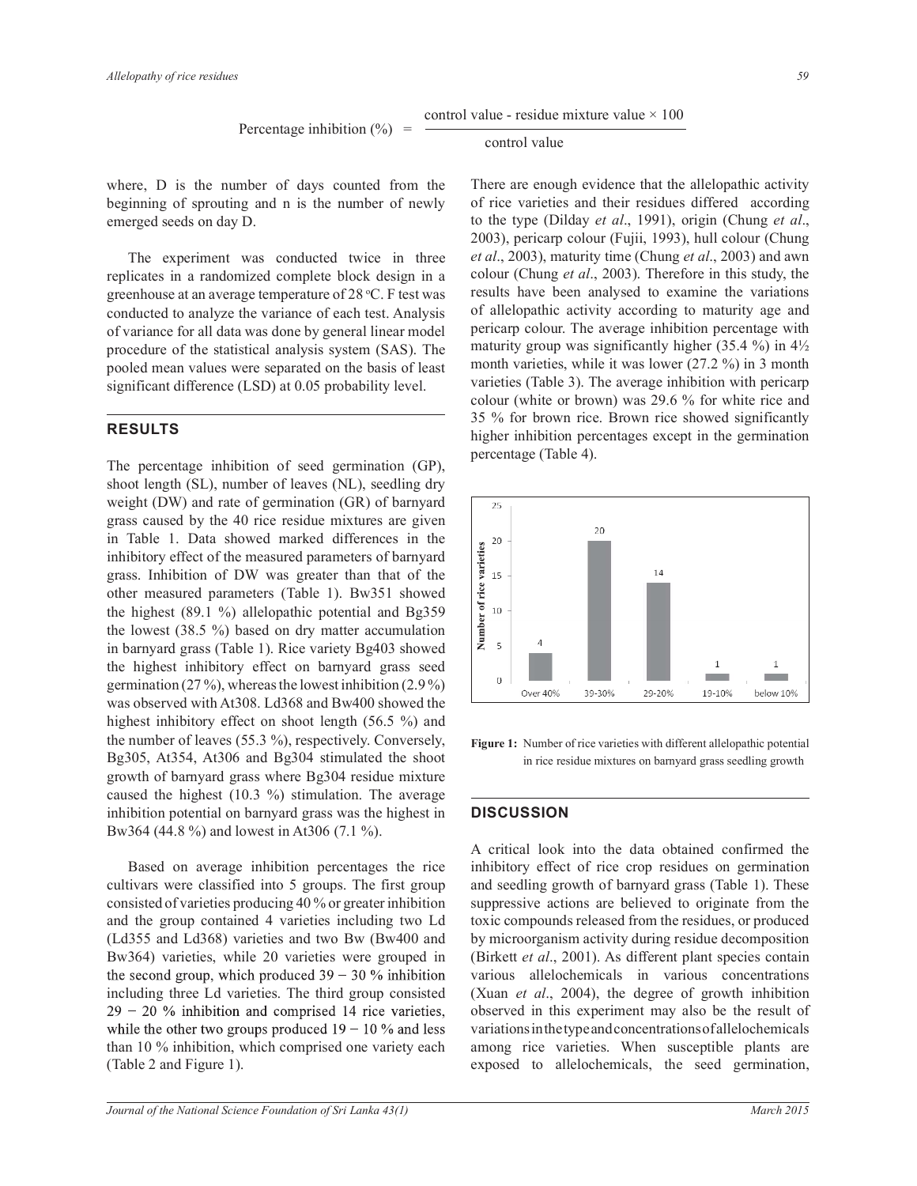where, D is the number of days counted from the beginning of sprouting and n is the number of newly emerged seeds on day D.

 The experiment was conducted twice in three replicates in a randomized complete block design in a greenhouse at an average temperature of 28 °C. F test was conducted to analyze the variance of each test. Analysis of variance for all data was done by general linear model procedure of the statistical analysis system (SAS). The pooled mean values were separated on the basis of least significant difference (LSD) at 0.05 probability level.

# **RESULTS**

The percentage inhibition of seed germination (GP), shoot length (SL), number of leaves (NL), seedling dry weight (DW) and rate of germination (GR) of barnyard grass caused by the 40 rice residue mixtures are given in Table 1. Data showed marked differences in the inhibitory effect of the measured parameters of barnyard grass. Inhibition of DW was greater than that of the other measured parameters (Table 1). Bw351 showed the highest (89.1 %) allelopathic potential and Bg359 the lowest (38.5 %) based on dry matter accumulation in barnyard grass (Table 1). Rice variety Bg403 showed the highest inhibitory effect on barnyard grass seed germination (27 %), whereas the lowest inhibition (2.9 %) was observed with At308. Ld368 and Bw400 showed the highest inhibitory effect on shoot length (56.5 %) and the number of leaves (55.3 %), respectively. Conversely, Bg305, At354, At306 and Bg304 stimulated the shoot growth of barnyard grass where Bg304 residue mixture caused the highest (10.3 %) stimulation. The average inhibition potential on barnyard grass was the highest in Bw364 (44.8 %) and lowest in At306 (7.1 %).

 Based on average inhibition percentages the rice cultivars were classified into 5 groups. The first group consisted of varieties producing 40 % or greater inhibition and the group contained 4 varieties including two Ld (Ld355 and Ld368) varieties and two Bw (Bw400 and Bw364) varieties, while 20 varieties were grouped in the second group, which produced  $39 - 30$  % inhibition including three Ld varieties. The third group consisted  $29 - 20$  % inhibition and comprised 14 rice varieties, while the other two groups produced  $19 - 10$  % and less than 10 % inhibition, which comprised one variety each (Table 2 and Figure 1).

#### control value

There are enough evidence that the allelopathic activity of rice varieties and their residues differed according to the type (Dilday *et al*., 1991), origin (Chung *et al*., 2003), pericarp colour (Fujii, 1993), hull colour (Chung *et al*., 2003), maturity time (Chung *et al*., 2003) and awn colour (Chung *et al*., 2003). Therefore in this study, the results have been analysed to examine the variations of allelopathic activity according to maturity age and pericarp colour. The average inhibition percentage with maturity group was significantly higher  $(35.4 \%)$  in  $4\frac{1}{2}$ month varieties, while it was lower (27.2 %) in 3 month varieties (Table 3). The average inhibition with pericarp colour (white or brown) was 29.6 % for white rice and 35 % for brown rice. Brown rice showed significantly higher inhibition percentages except in the germination percentage (Table 4).



**Figure 1:** Number of rice varieties with different allelopathic potential in rice residue mixtures on barnyard grass seedling growth

## **DISCUSSION**

A critical look into the data obtained confirmed the inhibitory effect of rice crop residues on germination and seedling growth of barnyard grass (Table 1). These suppressive actions are believed to originate from the toxic compounds released from the residues, or produced by microorganism activity during residue decomposition (Birkett *et al*., 2001). As different plant species contain various allelochemicals in various concentrations (Xuan *et al*., 2004), the degree of growth inhibition observed in this experiment may also be the result of variations in the type and concentrations of allelochemicals among rice varieties. When susceptible plants are exposed to allelochemicals, the seed germination,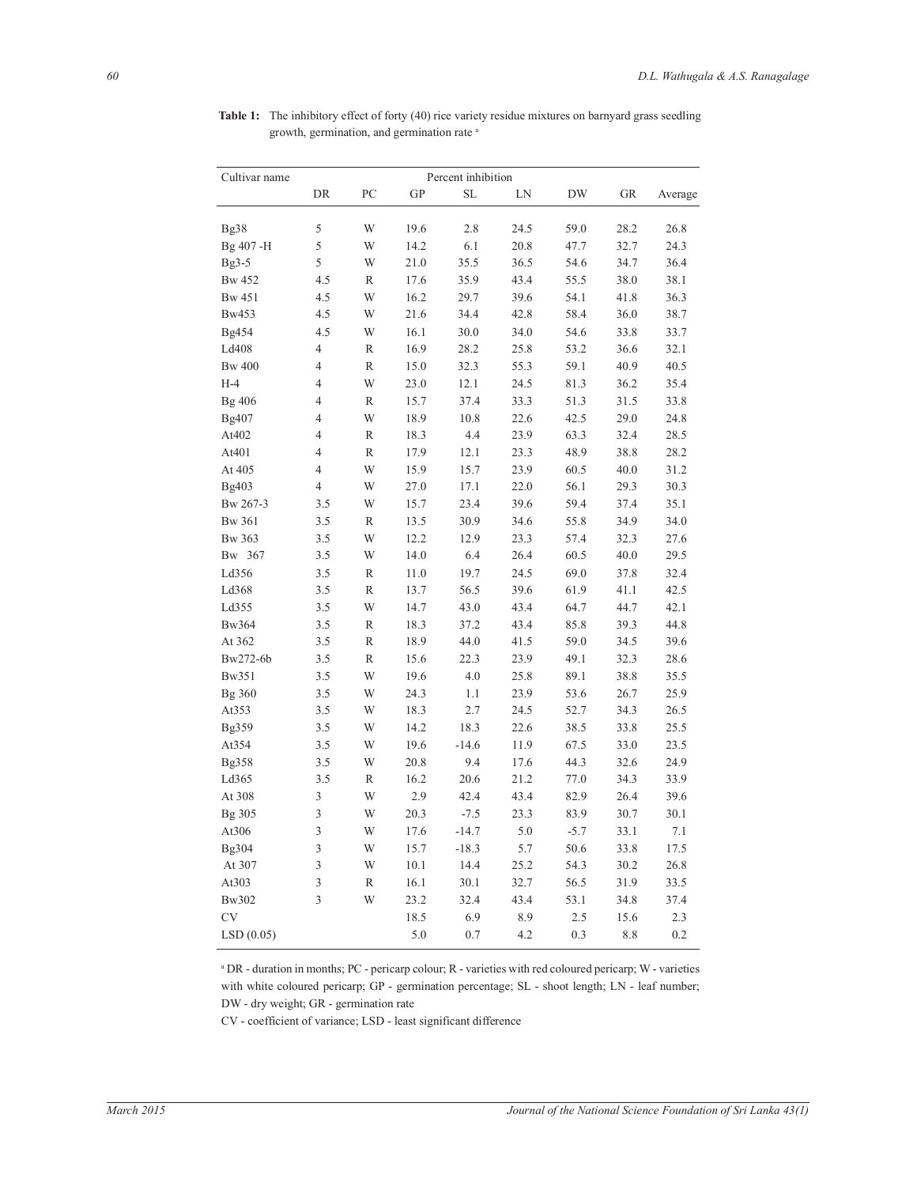| Cultivar name                                                              | Percent inhibition |  |  |  |  |  |  |
|----------------------------------------------------------------------------|--------------------|--|--|--|--|--|--|
| DR<br>PC<br><b>GP</b><br>SL<br>LN<br><b>DW</b><br><b>GR</b>                | Average            |  |  |  |  |  |  |
|                                                                            |                    |  |  |  |  |  |  |
| 5<br>W<br>19.6<br>2.8<br>24.5<br>59.0<br>28.2<br>Bg38                      | 26.8               |  |  |  |  |  |  |
| 5<br>W<br>Bg 407-H<br>14.2<br>6.1<br>20.8<br>47.7<br>32.7                  | 24.3               |  |  |  |  |  |  |
| 5<br>W<br>21.0<br>35.5<br>36.5<br>54.6<br>34.7<br>$Bg3-5$                  | 36.4               |  |  |  |  |  |  |
| <b>Bw 452</b><br>4.5<br>R<br>17.6<br>35.9<br>43.4<br>55.5<br>38.0          | 38.1               |  |  |  |  |  |  |
| W<br>39.6<br><b>Bw</b> 451<br>4.5<br>16.2<br>29.7<br>54.1<br>41.8          | 36.3               |  |  |  |  |  |  |
| W<br>34.4<br>42.8<br>58.4<br>36.0<br>Bw453<br>4.5<br>21.6                  | 38.7               |  |  |  |  |  |  |
| <b>Bg454</b><br>4.5<br>W<br>16.1<br>30.0<br>34.0<br>54.6<br>33.8           | 33.7               |  |  |  |  |  |  |
| 4<br>Ld408<br>R<br>16.9<br>28.2<br>25.8<br>53.2<br>36.6                    | 32.1               |  |  |  |  |  |  |
| 4<br>$\mathbb{R}$<br>15.0<br>32.3<br>55.3<br>59.1<br>40.9<br><b>Bw</b> 400 | 40.5               |  |  |  |  |  |  |
| $H-4$<br>$\overline{4}$<br>W<br>23.0<br>12.1<br>24.5<br>81.3<br>36.2       | 35.4               |  |  |  |  |  |  |
| 4<br>R<br>15.7<br>37.4<br>33.3<br>51.3<br>31.5<br>Bg 406                   | 33.8               |  |  |  |  |  |  |
| W<br>Bg407<br>4<br>18.9<br>10.8<br>22.6<br>42.5<br>29.0                    | 24.8               |  |  |  |  |  |  |
| At402<br>4<br>R<br>18.3<br>4.4<br>23.9<br>63.3<br>32.4                     | 28.5               |  |  |  |  |  |  |
| $\overline{4}$<br>R<br>17.9<br>12.1<br>23.3<br>48.9<br>38.8<br>At401       | 28.2               |  |  |  |  |  |  |
| $\overline{4}$<br>W<br>At 405<br>15.9<br>15.7<br>23.9<br>60.5<br>40.0      | 31.2               |  |  |  |  |  |  |
| $\overline{4}$<br>W<br>22.0<br>Bg403<br>27.0<br>17.1<br>56.1<br>29.3       | 30.3               |  |  |  |  |  |  |
| 3.5<br>W<br>15.7<br>23.4<br>39.6<br>59.4<br>37.4<br>Bw 267-3               | 35.1               |  |  |  |  |  |  |
| 3.5<br>R<br>13.5<br>30.9<br>55.8<br><b>Bw</b> 361<br>34.6<br>34.9          | 34.0               |  |  |  |  |  |  |
| W<br><b>Bw</b> 363<br>3.5<br>12.2<br>12.9<br>23.3<br>57.4<br>32.3          | 27.6               |  |  |  |  |  |  |
| 3.5<br>W<br>14.0<br>6.4<br>26.4<br>60.5<br>40.0<br>Bw 367                  | 29.5               |  |  |  |  |  |  |
| Ld356<br>3.5<br>R<br>$11.0\,$<br>19.7<br>24.5<br>69.0<br>37.8              | 32.4               |  |  |  |  |  |  |
| R<br>56.5<br>39.6<br>Ld368<br>3.5<br>13.7<br>61.9<br>41.1                  | 42.5               |  |  |  |  |  |  |
| W<br>Ld355<br>3.5<br>14.7<br>43.0<br>43.4<br>64.7<br>44.7                  | 42.1               |  |  |  |  |  |  |
| <b>Bw364</b><br>3.5<br>R<br>18.3<br>37.2<br>43.4<br>85.8<br>39.3           | 44.8               |  |  |  |  |  |  |
| R<br>44.0<br>59.0<br>At 362<br>3.5<br>18.9<br>41.5<br>34.5                 | 39.6               |  |  |  |  |  |  |
| Bw272-6b<br>3.5<br>R<br>15.6<br>22.3<br>23.9<br>49.1<br>32.3               | 28.6               |  |  |  |  |  |  |
| W<br>Bw351<br>3.5<br>19.6<br>4.0<br>25.8<br>89.1<br>38.8                   | 35.5               |  |  |  |  |  |  |
| W<br>24.3<br>1.1<br>23.9<br>53.6<br>26.7<br>Bg 360<br>3.5                  | 25.9               |  |  |  |  |  |  |
| At353<br>3.5<br>W<br>18.3<br>2.7<br>24.5<br>52.7<br>34.3                   | 26.5               |  |  |  |  |  |  |
| 18.3<br>Bg359<br>3.5<br>W<br>14.2<br>22.6<br>38.5<br>33.8                  | 25.5               |  |  |  |  |  |  |
| At354<br>W<br>19.6<br>$-14.6$<br>11.9<br>67.5<br>33.0<br>3.5               | 23.5               |  |  |  |  |  |  |
| <b>Bg358</b><br>3.5<br>W<br>20.8<br>9.4<br>44.3<br>32.6<br>17.6            | 24.9               |  |  |  |  |  |  |
| 20.6<br>Ld365<br>3.5<br>R<br>16.2<br>21.2<br>77.0<br>34.3                  | 33.9               |  |  |  |  |  |  |
| 3<br>At 308<br>W<br>2.9<br>42.4<br>43.4<br>82.9<br>26.4                    | 39.6               |  |  |  |  |  |  |
| 3<br>Bg 305<br>W<br>20.3<br>$-7.5$<br>23.3<br>83.9<br>30.7                 | 30.1               |  |  |  |  |  |  |
| 3<br>W<br>At306<br>17.6<br>$-14.7$<br>5.0<br>$-5.7$<br>33.1                | 7.1                |  |  |  |  |  |  |
| 3<br>5.7<br>W<br>15.7<br>$-18.3$<br>50.6<br>33.8<br>Bg304                  | 17.5               |  |  |  |  |  |  |
| 3<br>At 307<br>W<br>10.1<br>14.4<br>25.2<br>54.3<br>30.2                   | 26.8               |  |  |  |  |  |  |
| 3<br>R<br>30.1<br>32.7<br>56.5<br>31.9<br>At303<br>16.1                    | 33.5               |  |  |  |  |  |  |
| 3<br>W<br>32.4<br>43.4<br>Bw302<br>23.2<br>53.1<br>34.8                    | 37.4               |  |  |  |  |  |  |
| <b>CV</b><br>18.5<br>6.9<br>8.9<br>2.5<br>15.6                             | 2.3                |  |  |  |  |  |  |
| LSD(0.05)<br>5.0<br>0.7<br>4.2<br>0.3<br>8.8                               | 0.2                |  |  |  |  |  |  |

Table 1: The inhibitory effect of forty (40) rice variety residue mixtures on barnyard grass seedling growth, germination, and germination rate a

a DR - duration in months; PC - pericarp colour; R - varieties with red coloured pericarp; W - varieties with white coloured pericarp; GP - germination percentage; SL - shoot length; LN - leaf number; DW - dry weight; GR - germination rate

CV - coefficient of variance; LSD - least significant difference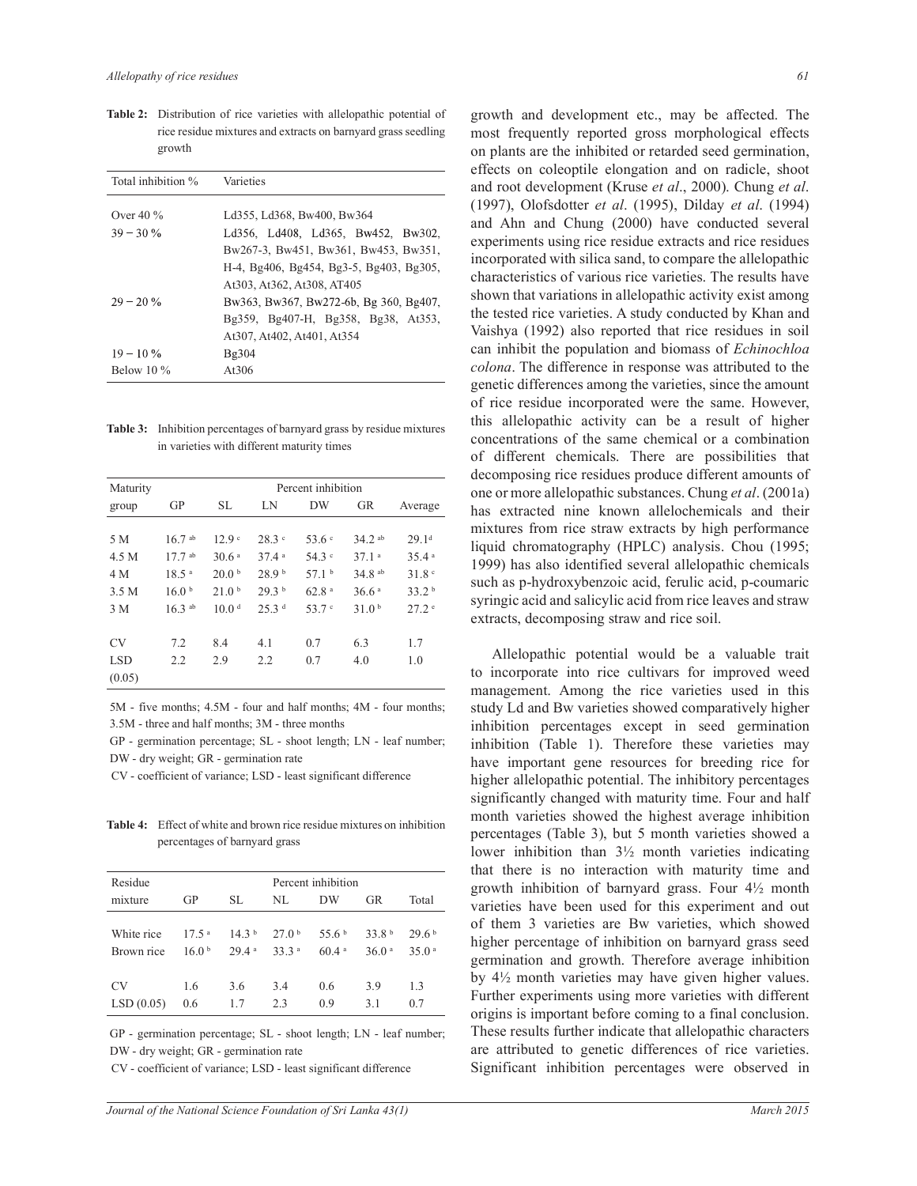**Table 2:** Distribution of rice varieties with allelopathic potential of rice residue mixtures and extracts on barnyard grass seedling growth

| Total inhibition % | Varieties                               |  |  |  |  |
|--------------------|-----------------------------------------|--|--|--|--|
|                    |                                         |  |  |  |  |
| Over $40\%$        | Ld355, Ld368, Bw400, Bw364              |  |  |  |  |
| $39 - 30\%$        | Ld356, Ld408, Ld365, Bw452, Bw302,      |  |  |  |  |
|                    | Bw267-3, Bw451, Bw361, Bw453, Bw351,    |  |  |  |  |
|                    | H-4, Bg406, Bg454, Bg3-5, Bg403, Bg305, |  |  |  |  |
|                    | At303, At362, At308, AT405              |  |  |  |  |
| $29 - 20 \%$       | Bw363, Bw367, Bw272-6b, Bg 360, Bg407,  |  |  |  |  |
|                    | Bg359, Bg407-H, Bg358, Bg38, At353,     |  |  |  |  |
|                    | At307, At402, At401, At354              |  |  |  |  |
| $19 - 10\%$        | Bg304                                   |  |  |  |  |
| Below $10\%$       | At306                                   |  |  |  |  |

**Table 3:** Inhibition percentages of barnyard grass by residue mixtures in varieties with different maturity times

| Maturity   | Percent inhibition |                   |                   |                |                   |                   |
|------------|--------------------|-------------------|-------------------|----------------|-------------------|-------------------|
| group      | GP                 | SL                | LN                | DW             | <b>GR</b>         | Average           |
|            |                    |                   |                   |                |                   |                   |
| 5 M        | $16.7$ ab          | 12.9 <sup>c</sup> | 28.3°             | 53.6 $\degree$ | $34.2^{ab}$       | 29.1 <sup>d</sup> |
| 4.5 M      | $17.7$ ab          | 30.6a             | 37.4a             | 54.3c          | 37.1a             | 35.4a             |
| 4 M        | 18.5 <sup>a</sup>  | 20.0 <sup>b</sup> | 28.9 <sup>b</sup> | 57.1 $b$       | 34.8 ab           | 31.8°             |
| 3.5 M      | 16.0 <sup>b</sup>  | 21.0 <sup>b</sup> | 29.3 <sup>b</sup> | 62.8a          | 36.6 <sup>a</sup> | 33.2 <sup>b</sup> |
| 3 M        | $16.3^{ab}$        | 10.0 <sup>d</sup> | 25.3 <sup>d</sup> | 53.7 $\degree$ | 31.0 <sup>b</sup> | 27.2 <sup>e</sup> |
|            |                    |                   |                   |                |                   |                   |
| CV         | 7.2                | 8.4               | 4.1               | 0.7            | 6.3               | 1.7               |
| <b>LSD</b> | 2.2                | 2.9               | 2.2               | 0.7            | 4.0               | 1.0               |
| (0.05)     |                    |                   |                   |                |                   |                   |

5M - five months; 4.5M - four and half months; 4M - four months; 3.5M - three and half months; 3M - three months

GP - germination percentage; SL - shoot length; LN - leaf number; DW - dry weight; GR - germination rate

CV - coefficient of variance; LSD - least significant difference

**Table 4:** Effect of white and brown rice residue mixtures on inhibition percentages of barnyard grass

| Residue    | Percent inhibition |                   |                   |                   |                   |                   |
|------------|--------------------|-------------------|-------------------|-------------------|-------------------|-------------------|
| mixture    | GP                 | SL.               | NL                | DW                | GR                | Total             |
|            |                    |                   |                   |                   |                   |                   |
| White rice | 17.5 <sup>a</sup>  | 14.3 <sup>b</sup> | 27.0 <sup>b</sup> | 55.6 <sup>b</sup> | 33.8 <sup>b</sup> | 29.6 <sup>b</sup> |
| Brown rice | 16.0 <sup>b</sup>  | 29.4a             | 33.3 <sup>a</sup> | 60.4a             | 36.0 <sup>a</sup> | 35.0 <sup>a</sup> |
|            |                    |                   |                   |                   |                   |                   |
| CV         | 1.6                | 3.6               | 3.4               | 0.6               | 3.9               | 1.3               |
| LSD(0.05)  | 0.6                | 1.7               | 2.3               | 0.9               | 3.1               | 0.7               |

GP - germination percentage; SL - shoot length; LN - leaf number; DW - dry weight; GR - germination rate

CV - coefficient of variance; LSD - least significant difference

growth and development etc., may be affected. The most frequently reported gross morphological effects on plants are the inhibited or retarded seed germination, effects on coleoptile elongation and on radicle, shoot and root development (Kruse *et al*., 2000). Chung *et al*. (1997), Olofsdotter *et al*. (1995), Dilday *et al*. (1994) and Ahn and Chung (2000) have conducted several experiments using rice residue extracts and rice residues incorporated with silica sand, to compare the allelopathic characteristics of various rice varieties. The results have shown that variations in allelopathic activity exist among the tested rice varieties. A study conducted by Khan and Vaishya (1992) also reported that rice residues in soil can inhibit the population and biomass of *Echinochloa colona*. The difference in response was attributed to the genetic differences among the varieties, since the amount of rice residue incorporated were the same. However, this allelopathic activity can be a result of higher concentrations of the same chemical or a combination of different chemicals. There are possibilities that decomposing rice residues produce different amounts of one or more allelopathic substances. Chung *et al*. (2001a) has extracted nine known allelochemicals and their mixtures from rice straw extracts by high performance liquid chromatography (HPLC) analysis. Chou (1995; 1999) has also identified several allelopathic chemicals such as p-hydroxybenzoic acid, ferulic acid, p-coumaric syringic acid and salicylic acid from rice leaves and straw extracts, decomposing straw and rice soil.

 Allelopathic potential would be a valuable trait to incorporate into rice cultivars for improved weed management. Among the rice varieties used in this study Ld and Bw varieties showed comparatively higher inhibition percentages except in seed germination inhibition (Table 1). Therefore these varieties may have important gene resources for breeding rice for higher allelopathic potential. The inhibitory percentages significantly changed with maturity time. Four and half month varieties showed the highest average inhibition percentages (Table 3), but 5 month varieties showed a lower inhibition than 3½ month varieties indicating that there is no interaction with maturity time and growth inhibition of barnyard grass. Four 4½ month varieties have been used for this experiment and out of them 3 varieties are Bw varieties, which showed higher percentage of inhibition on barnyard grass seed germination and growth. Therefore average inhibition by 4½ month varieties may have given higher values. Further experiments using more varieties with different origins is important before coming to a final conclusion. These results further indicate that allelopathic characters are attributed to genetic differences of rice varieties. Significant inhibition percentages were observed in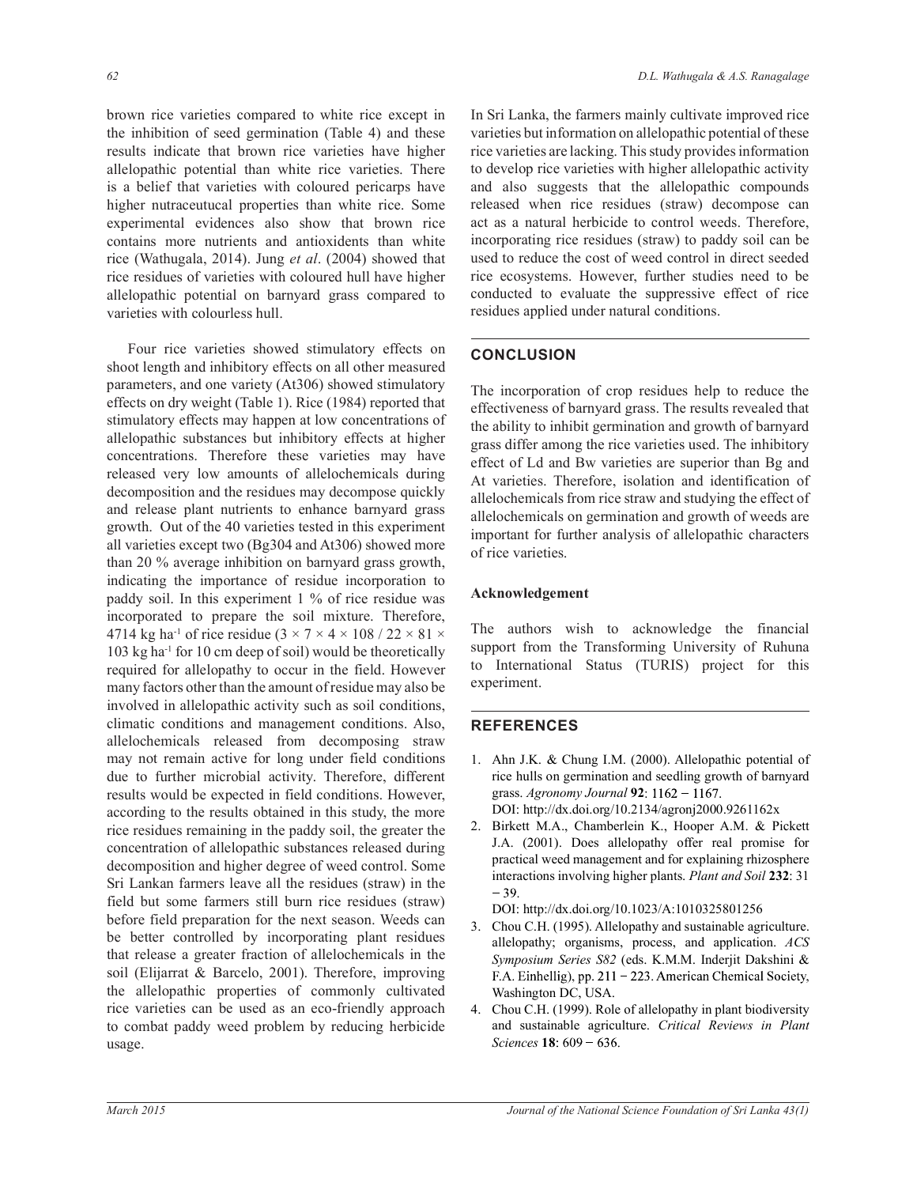brown rice varieties compared to white rice except in the inhibition of seed germination (Table 4) and these results indicate that brown rice varieties have higher allelopathic potential than white rice varieties. There is a belief that varieties with coloured pericarps have higher nutraceutucal properties than white rice. Some experimental evidences also show that brown rice contains more nutrients and antioxidents than white rice (Wathugala, 2014). Jung *et al*. (2004) showed that rice residues of varieties with coloured hull have higher allelopathic potential on barnyard grass compared to varieties with colourless hull.

 Four rice varieties showed stimulatory effects on shoot length and inhibitory effects on all other measured parameters, and one variety (At306) showed stimulatory effects on dry weight (Table 1). Rice (1984) reported that stimulatory effects may happen at low concentrations of allelopathic substances but inhibitory effects at higher concentrations. Therefore these varieties may have released very low amounts of allelochemicals during decomposition and the residues may decompose quickly and release plant nutrients to enhance barnyard grass growth. Out of the 40 varieties tested in this experiment all varieties except two (Bg304 and At306) showed more than 20 % average inhibition on barnyard grass growth, indicating the importance of residue incorporation to paddy soil. In this experiment 1 % of rice residue was incorporated to prepare the soil mixture. Therefore, 4714 kg ha<sup>-1</sup> of rice residue  $(3 \times 7 \times 4 \times 108 / 22 \times 81 \times$ 103 kg ha-1 for 10 cm deep of soil) would be theoretically required for allelopathy to occur in the field. However many factors other than the amount of residue may also be involved in allelopathic activity such as soil conditions, climatic conditions and management conditions. Also, allelochemicals released from decomposing straw may not remain active for long under field conditions due to further microbial activity. Therefore, different results would be expected in field conditions. However, according to the results obtained in this study, the more rice residues remaining in the paddy soil, the greater the concentration of allelopathic substances released during decomposition and higher degree of weed control. Some Sri Lankan farmers leave all the residues (straw) in the field but some farmers still burn rice residues (straw) before field preparation for the next season. Weeds can be better controlled by incorporating plant residues that release a greater fraction of allelochemicals in the soil (Elijarrat & Barcelo, 2001). Therefore, improving the allelopathic properties of commonly cultivated rice varieties can be used as an eco-friendly approach to combat paddy weed problem by reducing herbicide usage.

In Sri Lanka, the farmers mainly cultivate improved rice varieties but information on allelopathic potential of these rice varieties are lacking. This study provides information to develop rice varieties with higher allelopathic activity and also suggests that the allelopathic compounds released when rice residues (straw) decompose can act as a natural herbicide to control weeds. Therefore, incorporating rice residues (straw) to paddy soil can be used to reduce the cost of weed control in direct seeded rice ecosystems. However, further studies need to be conducted to evaluate the suppressive effect of rice residues applied under natural conditions.

# **CONCLUSION**

The incorporation of crop residues help to reduce the effectiveness of barnyard grass. The results revealed that the ability to inhibit germination and growth of barnyard grass differ among the rice varieties used. The inhibitory effect of Ld and Bw varieties are superior than Bg and At varieties. Therefore, isolation and identification of allelochemicals from rice straw and studying the effect of allelochemicals on germination and growth of weeds are important for further analysis of allelopathic characters of rice varieties.

### **Acknowledgement**

The authors wish to acknowledge the financial support from the Transforming University of Ruhuna to International Status (TURIS) project for this experiment.

### **REFERENCES**

- 1. Ahn J.K. & Chung I.M. (2000). Allelopathic potential of rice hulls on germination and seedling growth of barnyard grass. *Agronomy Journal* **92** DOI: http://dx.doi.org/10.2134/agronj2000.9261162x
- 2. Birkett M.A., Chamberlein K., Hooper A.M. & Pickett J.A. (2001). Does allelopathy offer real promise for practical weed management and for explaining rhizosphere interactions involving higher plants. *Plant and Soil* **232**: 31  $-39.$

DOI: http://dx.doi.org/10.1023/A:1010325801256

- 3. Chou C.H. (1995). Allelopathy and sustainable agriculture. allelopathy; organisms, process, and application. *ACS Symposium Series S82* (eds. K.M.M. Inderjit Dakshini & F.A. Einhellig), pp. 211 – 223. American Chemical Society, Washington DC, USA.
- 4. Chou C.H. (1999). Role of allelopathy in plant biodiversity and sustainable agriculture. *Critical Reviews in Plant Sciences* **18**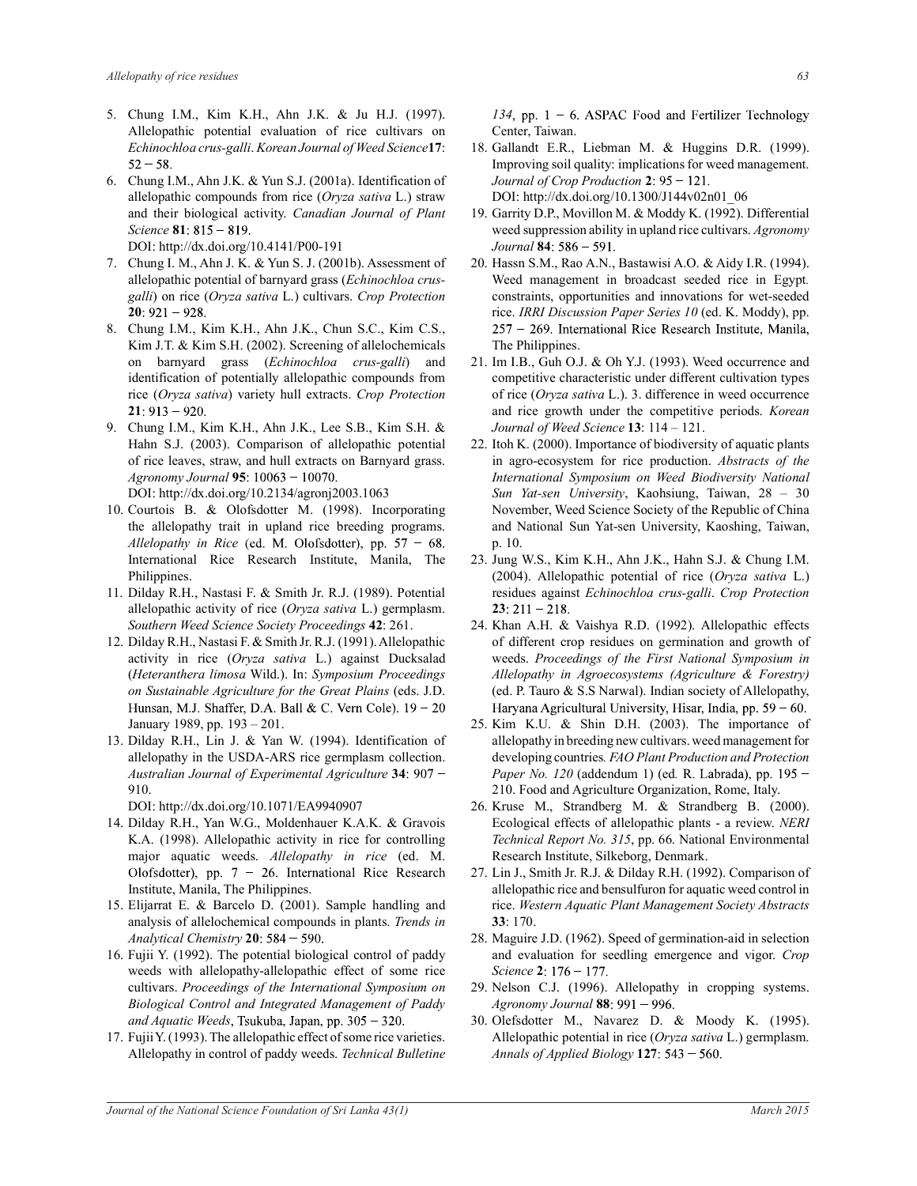- 5. Chung I.M., Kim K.H., Ahn J.K. & Ju H.J. (1997). Allelopathic potential evaluation of rice cultivars on *Echinochloa crus-galli*. *Korean Journal of Weed Science***17**:  $52 - 58$ .
- 6. Chung I.M., Ahn J.K. & Yun S.J. (2001a). Identification of allelopathic compounds from rice (*Oryza sativa* L.) straw and their biological activity. *Canadian Journal of Plant Science* **81** DOI: http://dx.doi.org/10.4141/P00-191
- 7. Chung I. M., Ahn J. K. & Yun S. J. (2001b). Assessment of allelopathic potential of barnyard grass (*Echinochloa crusgalli*) on rice (*Oryza sativa* L.) cultivars. *Crop Protection*   $20:921 - 928$ .
- 8. Chung I.M., Kim K.H., Ahn J.K., Chun S.C., Kim C.S., Kim J.T. & Kim S.H. (2002). Screening of allelochemicals on barnyard grass (*Echinochloa crus-galli*) and identification of potentially allelopathic compounds from rice (*Oryza sativa*) variety hull extracts. *Crop Protection*  $21:913 - 920.$
- 9. Chung I.M., Kim K.H., Ahn J.K., Lee S.B., Kim S.H. & Hahn S.J. (2003). Comparison of allelopathic potential of rice leaves, straw, and hull extracts on Barnyard grass. *Agronomy Journal* **95** DOI: http://dx.doi.org/10.2134/agronj2003.1063
- 10. Courtois B. & Olofsdotter M. (1998). Incorporating the allelopathy trait in upland rice breeding programs. *Allelopathy in Rice* (ed. M. Olofsdotter), pp.  $57 - 68$ . International Rice Research Institute, Manila, The Philippines.
- 11. Dilday R.H., Nastasi F. & Smith Jr. R.J. (1989). Potential allelopathic activity of rice (*Oryza sativa* L.) germplasm. *Southern Weed Science Society Proceedings* **42**: 261.
- 12. Dilday R.H., Nastasi F. & Smith Jr. R.J. (1991). Allelopathic activity in rice (*Oryza sativa* L.) against Ducksalad (*Heteranthera limosa* Wild.). In: *Symposium Proceedings on Sustainable Agriculture for the Great Plains* (eds. J.D. Hunsan, M.J. Shaffer, D.A. Ball & C. Vern Cole). 19 - 20 January 1989, pp. 193 – 201.
- 13. Dilday R.H., Lin J. & Yan W. (1994). Identification of allelopathy in the USDA-ARS rice germplasm collection. *Australian Journal of Experimental Agriculture* **34** 910.

DOI: http://dx.doi.org/10.1071/EA9940907

- 14. Dilday R.H., Yan W.G., Moldenhauer K.A.K. & Gravois K.A. (1998). Allelopathic activity in rice for controlling major aquatic weeds. *Allelopathy in rice* (ed. M. Olofsdotter), pp.  $7 - 26$ . International Rice Research Institute, Manila, The Philippines.
- 15. Elijarrat E. & Barcelo D. (2001). Sample handling and analysis of allelochemical compounds in plants. *Trends in Analytical Chemistry* **20**
- 16. Fujii Y. (1992). The potential biological control of paddy weeds with allelopathy-allelopathic effect of some rice cultivars. *Proceedings of the International Symposium on Biological Control and Integrated Management of Paddy and Aquatic Weeds*
- 17. Fujii Y. (1993). The allelopathic effect of some rice varieties. Allelopathy in control of paddy weeds. *Technical Bulletine*
- 18. Gallandt E.R., Liebman M. & Huggins D.R. (1999). Improving soil quality: implications for weed management. *Journal of Crop Production* **2** DOI: http://dx.doi.org/10.1300/J144v02n01\_06
- 19. Garrity D.P., Movillon M. & Moddy K. (1992). Differential weed suppression ability in upland rice cultivars. *Agronomy Journal* **84**
- 20. Hassn S.M., Rao A.N., Bastawisi A.O. & Aidy I.R. (1994). Weed management in broadcast seeded rice in Egypt*.*  constraints, opportunities and innovations for wet-seeded rice. *IRRI Discussion Paper Series 10* (ed. K. Moddy), pp. 257 - 269. International Rice Research Institute, Manila, The Philippines.
- 21. Im I.B., Guh O.J. & Oh Y.J. (1993). Weed occurrence and competitive characteristic under different cultivation types of rice (*Oryza sativa* L.). 3. difference in weed occurrence and rice growth under the competitive periods. *Korean Journal of Weed Science* **13**: 114 – 121.
- 22. Itoh K. (2000). Importance of biodiversity of aquatic plants in agro-ecosystem for rice production. *Abstracts of the International Symposium on Weed Biodiversity National Sun Yat-sen University*, Kaohsiung, Taiwan, 28 – 30 November, Weed Science Society of the Republic of China and National Sun Yat-sen University, Kaoshing, Taiwan, p. 10.
- 23. Jung W.S., Kim K.H., Ahn J.K., Hahn S.J. & Chung I.M. (2004). Allelopathic potential of rice (*Oryza sativa* L.) residues against *Echinochloa crus-galli*. *Crop Protection*  $23:211 - 218.$
- 24. Khan A.H. & Vaishya R.D. (1992). Allelopathic effects of different crop residues on germination and growth of weeds. *Proceedings of the First National Symposium in Allelopathy in Agroecosystems (Agriculture & Forestry)*  (ed. P. Tauro & S.S Narwal). Indian society of Allelopathy, Haryana Agricultural University, Hisar, India, pp.  $59 - 60$ .
- 25. Kim K.U. & Shin D.H. (2003). The importance of allelopathy in breeding new cultivars. weed management for developing countries*. FAO Plant Production and Protection Paper No. 120* (addendum 1) (ed*.* 210. Food and Agriculture Organization, Rome, Italy.
- 26. Kruse M., Strandberg M. & Strandberg B. (2000). Ecological effects of allelopathic plants - a review. *NERI Technical Report No. 315*, pp. 66. National Environmental Research Institute, Silkeborg, Denmark.
- 27. Lin J., Smith Jr. R.J. & Dilday R.H. (1992). Comparison of allelopathic rice and bensulfuron for aquatic weed control in rice. *Western Aquatic Plant Management Society Abstracts* **33**: 170.
- 28. Maguire J.D. (1962). Speed of germination-aid in selection and evaluation for seedling emergence and vigor. *Crop Science* **2**
- 29. Nelson C.J. (1996). Allelopathy in cropping systems. *Agronomy Journal* **88**
- 30. Olefsdotter M., Navarez D. & Moody K. (1995). Allelopathic potential in rice (*Oryza sativa* L.) germplasm. *Annals of Applied Biology* **127**